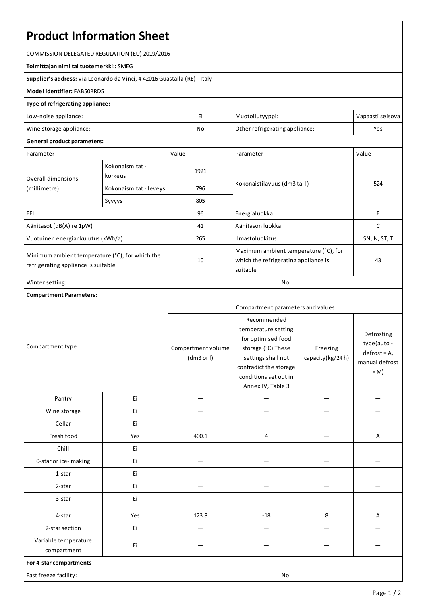# **Product Information Sheet**

COMMISSION DELEGATED REGULATION (EU) 2019/2016

#### **Toimittajan nimi tai tuotemerkki::**SMEG

**Supplier's address:** ViaLeonardo da Vinci, 4 42016 Guastalla(RE) - Italy

## **Model identifier:**FAB50RRD5

#### **Type of refrigerating appliance:**

| No<br>Other refrigerating appliance:<br>Yes | Low-noise appliance:    |  | Muotoilutyyppi: | Vapaasti seisova |
|---------------------------------------------|-------------------------|--|-----------------|------------------|
|                                             | Wine storage appliance: |  |                 |                  |

## **General product parameters:**

| Parameter                                                                              |                            | Value | Parameter                                                                                 | Value        |
|----------------------------------------------------------------------------------------|----------------------------|-------|-------------------------------------------------------------------------------------------|--------------|
| Overall dimensions<br>(millimetre)                                                     | Kokonaismitat -<br>korkeus | 1921  |                                                                                           | 524          |
|                                                                                        | Kokonaismitat - leveys     | 796   | Kokonaistilavuus (dm3 tai l)                                                              |              |
|                                                                                        | Syvyys                     | 805   |                                                                                           |              |
| EEI                                                                                    |                            | 96    | Energialuokka                                                                             | Е            |
| Äänitasot (dB(A) re 1pW)                                                               |                            | 41    | Äänitason luokka                                                                          | C            |
| Vuotuinen energiankulutus (kWh/a)                                                      |                            | 265   | <b>Ilmastoluokitus</b>                                                                    | SN, N, ST, T |
| Minimum ambient temperature (°C), for which the<br>refrigerating appliance is suitable |                            | 10    | Maximum ambient temperature (°C), for<br>which the refrigerating appliance is<br>suitable | 43           |
| Winter setting:                                                                        |                            | No    |                                                                                           |              |

### **Compartment Parameters:**

|                                     |     | Compartment parameters and values |                                                                                                                                                                              |                              |                                                                       |
|-------------------------------------|-----|-----------------------------------|------------------------------------------------------------------------------------------------------------------------------------------------------------------------------|------------------------------|-----------------------------------------------------------------------|
| Compartment type                    |     | Compartment volume<br>(dm3 or l)  | Recommended<br>temperature setting<br>for optimised food<br>storage (°C) These<br>settings shall not<br>contradict the storage<br>conditions set out in<br>Annex IV, Table 3 | Freezing<br>capacity(kg/24h) | Defrosting<br>type(auto-<br>$defrost = A,$<br>manual defrost<br>$= M$ |
| Pantry                              | Ei  |                                   |                                                                                                                                                                              |                              |                                                                       |
| Wine storage                        | Ei  |                                   |                                                                                                                                                                              |                              |                                                                       |
| Cellar                              | Ei  |                                   |                                                                                                                                                                              |                              |                                                                       |
| Fresh food                          | Yes | 400.1                             | 4                                                                                                                                                                            |                              | A                                                                     |
| Chill                               | Ei  |                                   |                                                                                                                                                                              |                              |                                                                       |
| 0-star or ice-making                | Ei  |                                   |                                                                                                                                                                              |                              |                                                                       |
| 1-star                              | Ei  |                                   |                                                                                                                                                                              |                              |                                                                       |
| 2-star                              | Ei  |                                   |                                                                                                                                                                              |                              |                                                                       |
| 3-star                              | Ei  |                                   |                                                                                                                                                                              |                              |                                                                       |
| 4-star                              | Yes | 123.8                             | $-18$                                                                                                                                                                        | 8                            | A                                                                     |
| 2-star section                      | Ei  |                                   |                                                                                                                                                                              |                              |                                                                       |
| Variable temperature<br>compartment | Ei  |                                   |                                                                                                                                                                              |                              |                                                                       |
| For 4-star compartments             |     |                                   |                                                                                                                                                                              |                              |                                                                       |
| Fast freeze facility:               |     |                                   | No                                                                                                                                                                           |                              |                                                                       |